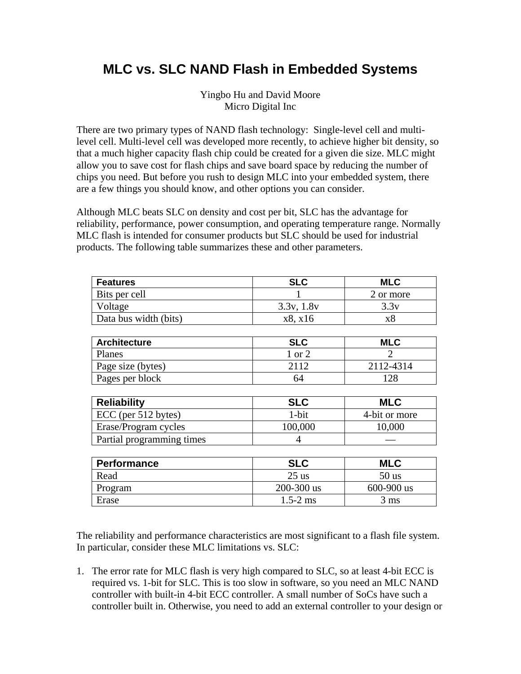## **MLC vs. SLC NAND Flash in Embedded Systems**

Yingbo Hu and David Moore Micro Digital Inc

There are two primary types of NAND flash technology: Single-level cell and multilevel cell. Multi-level cell was developed more recently, to achieve higher bit density, so that a much higher capacity flash chip could be created for a given die size. MLC might allow you to save cost for flash chips and save board space by reducing the number of chips you need. But before you rush to design MLC into your embedded system, there are a few things you should know, and other options you can consider.

Although MLC beats SLC on density and cost per bit, SLC has the advantage for reliability, performance, power consumption, and operating temperature range. Normally MLC flash is intended for consumer products but SLC should be used for industrial products. The following table summarizes these and other parameters.

| <b>Features</b>       | <b>SLC</b> | MLC       |
|-----------------------|------------|-----------|
| Bits per cell         |            | 2 or more |
| Voltage               | 3.3v, 1.8v | 3.3v      |
| Data bus width (bits) | x8, x16    | xč        |

| <b>Architecture</b> | SLC         | MLC       |
|---------------------|-------------|-----------|
| Planes              | or $\gamma$ |           |
| Page size (bytes)   | 2112        | 2112-4314 |
| Pages per block     | 64          | 28        |

| <b>Reliability</b>        | <b>SLC</b> | <b>MLC</b>    |
|---------------------------|------------|---------------|
| ECC (per 512 bytes)       | 1-bit      | 4-bit or more |
| Erase/Program cycles      | 100,000    | 10,000        |
| Partial programming times |            |               |

| Performance | <b>SLC</b>     | <b>MLC</b>     |
|-------------|----------------|----------------|
| Read        | $25$ us        | $50$ us        |
| Program     | $200 - 300$ us | $600 - 900$ us |
| Erase       | $1.5 - 2$ ms   | 3 ms           |

The reliability and performance characteristics are most significant to a flash file system. In particular, consider these MLC limitations vs. SLC:

1. The error rate for MLC flash is very high compared to SLC, so at least 4-bit ECC is required vs. 1-bit for SLC. This is too slow in software, so you need an MLC NAND controller with built-in 4-bit ECC controller. A small number of SoCs have such a controller built in. Otherwise, you need to add an external controller to your design or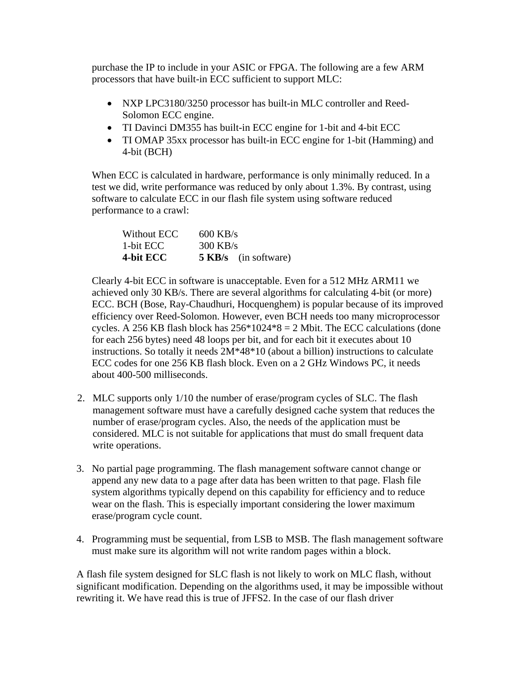purchase the IP to include in your ASIC or FPGA. The following are a few ARM processors that have built-in ECC sufficient to support MLC:

- NXP LPC3180/3250 processor has built-in MLC controller and Reed-Solomon ECC engine.
- TI Davinci DM355 has built-in ECC engine for 1-bit and 4-bit ECC
- TI OMAP 35xx processor has built-in ECC engine for 1-bit (Hamming) and 4-bit (BCH)

 When ECC is calculated in hardware, performance is only minimally reduced. In a test we did, write performance was reduced by only about 1.3%. By contrast, using software to calculate ECC in our flash file system using software reduced performance to a crawl:

| Without ECC | $600$ KB/s |                              |
|-------------|------------|------------------------------|
| 1-bit ECC   | $300$ KB/s |                              |
| 4-bit ECC   |            | <b>5 KB</b> /s (in software) |

 Clearly 4-bit ECC in software is unacceptable. Even for a 512 MHz ARM11 we achieved only 30 KB/s. There are several algorithms for calculating 4-bit (or more) ECC. BCH (Bose, Ray-Chaudhuri, Hocquenghem) is popular because of its improved efficiency over Reed-Solomon. However, even BCH needs too many microprocessor cycles. A 256 KB flash block has  $256*1024*8 = 2$  Mbit. The ECC calculations (done for each 256 bytes) need 48 loops per bit, and for each bit it executes about 10 instructions. So totally it needs 2M\*48\*10 (about a billion) instructions to calculate ECC codes for one 256 KB flash block. Even on a 2 GHz Windows PC, it needs about 400-500 milliseconds.

- 2. MLC supports only 1/10 the number of erase/program cycles of SLC. The flash management software must have a carefully designed cache system that reduces the number of erase/program cycles. Also, the needs of the application must be considered. MLC is not suitable for applications that must do small frequent data write operations.
- 3. No partial page programming. The flash management software cannot change or append any new data to a page after data has been written to that page. Flash file system algorithms typically depend on this capability for efficiency and to reduce wear on the flash. This is especially important considering the lower maximum erase/program cycle count.
- 4. Programming must be sequential, from LSB to MSB. The flash management software must make sure its algorithm will not write random pages within a block.

A flash file system designed for SLC flash is not likely to work on MLC flash, without significant modification. Depending on the algorithms used, it may be impossible without rewriting it. We have read this is true of JFFS2. In the case of our flash driver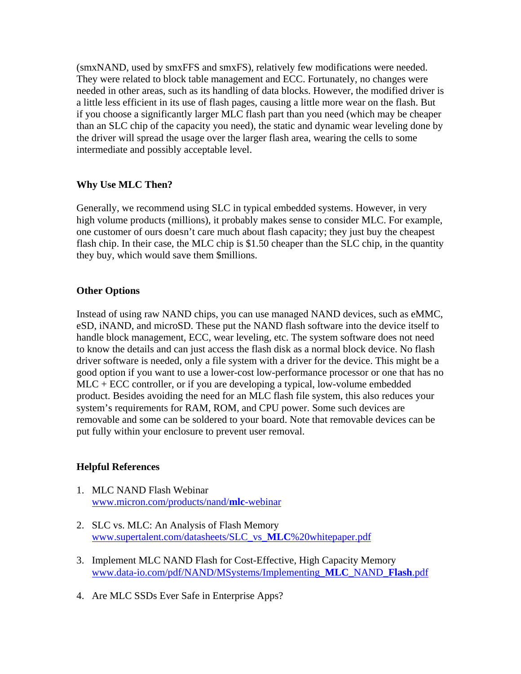(smxNAND, used by smxFFS and smxFS), relatively few modifications were needed. They were related to block table management and ECC. Fortunately, no changes were needed in other areas, such as its handling of data blocks. However, the modified driver is a little less efficient in its use of flash pages, causing a little more wear on the flash. But if you choose a significantly larger MLC flash part than you need (which may be cheaper than an SLC chip of the capacity you need), the static and dynamic wear leveling done by the driver will spread the usage over the larger flash area, wearing the cells to some intermediate and possibly acceptable level.

## **Why Use MLC Then?**

Generally, we recommend using SLC in typical embedded systems. However, in very high volume products (millions), it probably makes sense to consider MLC. For example, one customer of ours doesn't care much about flash capacity; they just buy the cheapest flash chip. In their case, the MLC chip is \$1.50 cheaper than the SLC chip, in the quantity they buy, which would save them \$millions.

## **Other Options**

Instead of using raw NAND chips, you can use managed NAND devices, such as eMMC, eSD, iNAND, and microSD. These put the NAND flash software into the device itself to handle block management, ECC, wear leveling, etc. The system software does not need to know the details and can just access the flash disk as a normal block device. No flash driver software is needed, only a file system with a driver for the device. This might be a good option if you want to use a lower-cost low-performance processor or one that has no MLC + ECC controller, or if you are developing a typical, low-volume embedded product. Besides avoiding the need for an MLC flash file system, this also reduces your system's requirements for RAM, ROM, and CPU power. Some such devices are removable and some can be soldered to your board. Note that removable devices can be put fully within your enclosure to prevent user removal.

## **Helpful References**

- 1. MLC NAND Flash Webinar www.micron.com/products/nand/**mlc**-webinar
- 2. SLC vs. MLC: An Analysis of Flash Memory www.supertalent.com/datasheets/SLC\_vs\_**MLC**%20whitepaper.pdf
- 3. Implement MLC NAND Flash for Cost-Effective, High Capacity Memory www.data-io.com/pdf/NAND/MSystems/Implementing\_**MLC**\_NAND\_**Flash**.pdf
- 4. Are MLC SSDs Ever Safe in Enterprise Apps?